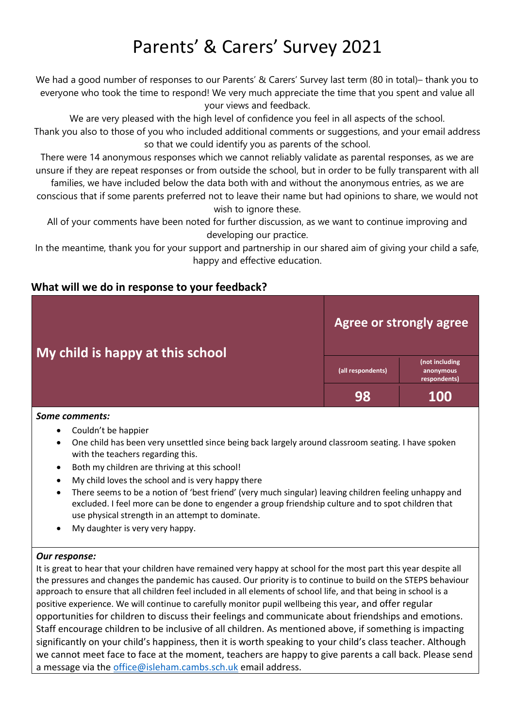# Parents' & Carers' Survey 2021

We had a good number of responses to our Parents' & Carers' Survey last term (80 in total)- thank you to everyone who took the time to respond! We very much appreciate the time that you spent and value all your views and feedback.

We are very pleased with the high level of confidence you feel in all aspects of the school. Thank you also to those of you who included additional comments or suggestions, and your email address so that we could identify you as parents of the school.

There were 14 anonymous responses which we cannot reliably validate as parental responses, as we are unsure if they are repeat responses or from outside the school, but in order to be fully transparent with all

families, we have included below the data both with and without the anonymous entries, as we are conscious that if some parents preferred not to leave their name but had opinions to share, we would not wish to ignore these.

All of your comments have been noted for further discussion, as we want to continue improving and developing our practice.

In the meantime, thank you for your support and partnership in our shared aim of giving your child a safe, happy and effective education.

#### **What will we do in response to your feedback?**

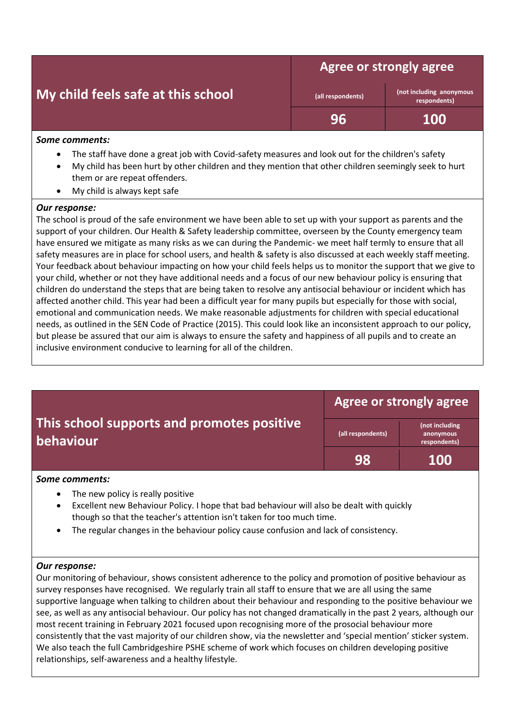|  | My child feels safe at this school |  |  |
|--|------------------------------------|--|--|
|  |                                    |  |  |

**Agree or strongly agree** 

**(all respondents) (not including anonymous respondents)**

**96 100**

#### *Some comments:*

- The staff have done a great job with Covid-safety measures and look out for the children's safety
- My child has been hurt by other children and they mention that other children seemingly seek to hurt them or are repeat offenders.
- My child is always kept safe

#### *Our response:*

The school is proud of the safe environment we have been able to set up with your support as parents and the support of your children. Our Health & Safety leadership committee, overseen by the County emergency team have ensured we mitigate as many risks as we can during the Pandemic- we meet half termly to ensure that all safety measures are in place for school users, and health & safety is also discussed at each weekly staff meeting. Your feedback about behaviour impacting on how your child feels helps us to monitor the support that we give to your child, whether or not they have additional needs and a focus of our new behaviour policy is ensuring that children do understand the steps that are being taken to resolve any antisocial behaviour or incident which has affected another child. This year had been a difficult year for many pupils but especially for those with social, emotional and communication needs. We make reasonable adjustments for children with special educational needs, as outlined in the SEN Code of Practice (2015). This could look like an inconsistent approach to our policy, but please be assured that our aim is always to ensure the safety and happiness of all pupils and to create an inclusive environment conducive to learning for all of the children.

|                                                                                                                                                          | <b>Agree or strongly agree</b> |                                             |  |
|----------------------------------------------------------------------------------------------------------------------------------------------------------|--------------------------------|---------------------------------------------|--|
| This school supports and promotes positive<br><b>behaviour</b>                                                                                           | (all respondents)              | (not including<br>anonymous<br>respondents) |  |
|                                                                                                                                                          | 98                             | <b>100</b>                                  |  |
| Some comments:                                                                                                                                           |                                |                                             |  |
| The new policy is really positive<br>$\bullet$<br>Excellent new Behaviour Policy. I hope that bad behaviour will also be dealt with quickly<br>$\bullet$ |                                |                                             |  |

- though so that the teacher's attention isn't taken for too much time.
- The regular changes in the behaviour policy cause confusion and lack of consistency.

#### *Our response:*

Our monitoring of behaviour, shows consistent adherence to the policy and promotion of positive behaviour as survey responses have recognised. We regularly train all staff to ensure that we are all using the same supportive language when talking to children about their behaviour and responding to the positive behaviour we see, as well as any antisocial behaviour. Our policy has not changed dramatically in the past 2 years, although our most recent training in February 2021 focused upon recognising more of the prosocial behaviour more consistently that the vast majority of our children show, via the newsletter and 'special mention' sticker system. We also teach the full Cambridgeshire PSHE scheme of work which focuses on children developing positive relationships, self-awareness and a healthy lifestyle.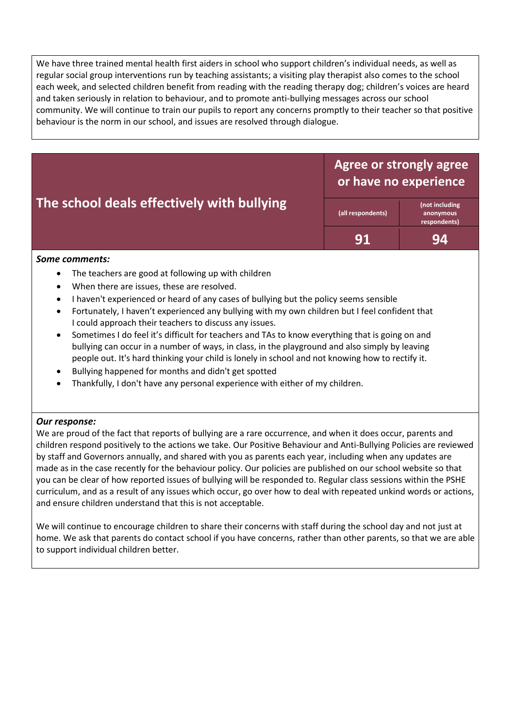We have three trained mental health first aiders in school who support children's individual needs, as well as regular social group interventions run by teaching assistants; a visiting play therapist also comes to the school each week, and selected children benefit from reading with the reading therapy dog; children's voices are heard and taken seriously in relation to behaviour, and to promote anti-bullying messages across our school community. We will continue to train our pupils to report any concerns promptly to their teacher so that positive behaviour is the norm in our school, and issues are resolved through dialogue.

### **The school deals effectively with bullying**

**Agree or strongly agree or have no experience**

**(all respondents) (not including anonymous respondents) 91 94**

#### *Some comments:*

- The teachers are good at following up with children
- When there are issues, these are resolved.
- I haven't experienced or heard of any cases of bullying but the policy seems sensible
- Fortunately, I haven't experienced any bullying with my own children but I feel confident that I could approach their teachers to discuss any issues.
- Sometimes I do feel it's difficult for teachers and TAs to know everything that is going on and bullying can occur in a number of ways, in class, in the playground and also simply by leaving people out. It's hard thinking your child is lonely in school and not knowing how to rectify it.
- Bullying happened for months and didn't get spotted
- Thankfully, I don't have any personal experience with either of my children.

#### *Our response:*

We are proud of the fact that reports of bullying are a rare occurrence, and when it does occur, parents and children respond positively to the actions we take. Our Positive Behaviour and Anti-Bullying Policies are reviewed by staff and Governors annually, and shared with you as parents each year, including when any updates are made as in the case recently for the behaviour policy. Our policies are published on our school website so that you can be clear of how reported issues of bullying will be responded to. Regular class sessions within the PSHE curriculum, and as a result of any issues which occur, go over how to deal with repeated unkind words or actions, and ensure children understand that this is not acceptable.

We will continue to encourage children to share their concerns with staff during the school day and not just at home. We ask that parents do contact school if you have concerns, rather than other parents, so that we are able to support individual children better.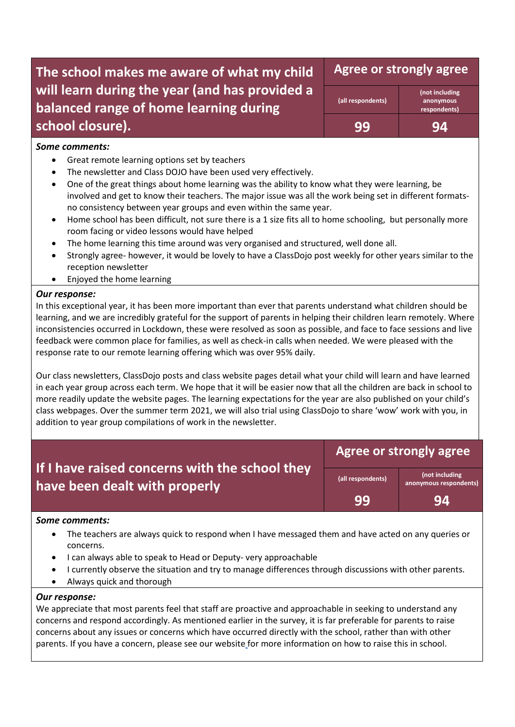### **The school makes me aware of what my child will learn during the year (and has provided a balanced range of home learning during school closure).**

**Agree or strongly agree** 

| (all respondents) |  |
|-------------------|--|
| qq                |  |

**(not including anonymous respondents)**

**99 94**

#### *Some comments:*

- Great remote learning options set by teachers
- The newsletter and Class DOJO have been used very effectively.
- One of the great things about home learning was the ability to know what they were learning, be involved and get to know their teachers. The major issue was all the work being set in different formatsno consistency between year groups and even within the same year.
- Home school has been difficult, not sure there is a 1 size fits all to home schooling, but personally more room facing or video lessons would have helped
- The home learning this time around was very organised and structured, well done all.
- Strongly agree- however, it would be lovely to have a ClassDojo post weekly for other years similar to the reception newsletter
- Enjoyed the home learning

#### *Our response:*

In this exceptional year, it has been more important than ever that parents understand what children should be learning, and we are incredibly grateful for the support of parents in helping their children learn remotely. Where inconsistencies occurred in Lockdown, these were resolved as soon as possible, and face to face sessions and live feedback were common place for families, as well as check-in calls when needed. We were pleased with the response rate to our remote learning offering which was over 95% daily.

Our class newsletters, ClassDojo posts and class website pages detail what your child will learn and have learned in each year group across each term. We hope that it will be easier now that all the children are back in school to more readily update the website pages. The learning expectations for the year are also published on your child's class webpages. Over the summer term 2021, we will also trial using ClassDojo to share 'wow' work with you, in addition to year group compilations of work in the newsletter.

|                                                                                 | Agree or strongly agree |                                          |  |
|---------------------------------------------------------------------------------|-------------------------|------------------------------------------|--|
| If I have raised concerns with the school they<br>have been dealt with properly | (all respondents)       | (not including<br>anonymous respondents) |  |
|                                                                                 | -99                     | 94                                       |  |

#### *Some comments:*

- The teachers are always quick to respond when I have messaged them and have acted on any queries or concerns.
- I can always able to speak to Head or Deputy- very approachable
- I currently observe the situation and try to manage differences through discussions with other parents.
- Always quick and thorough

#### *Our response:*

We appreciate that most parents feel that staff are proactive and approachable in seeking to understand any concerns and respond accordingly. As mentioned earlier in the survey, it is far preferable for parents to raise concerns about any issues or concerns which have occurred directly with the school, rather than with other parents. If you have a concern, please see our website for more information on how to raise this in school.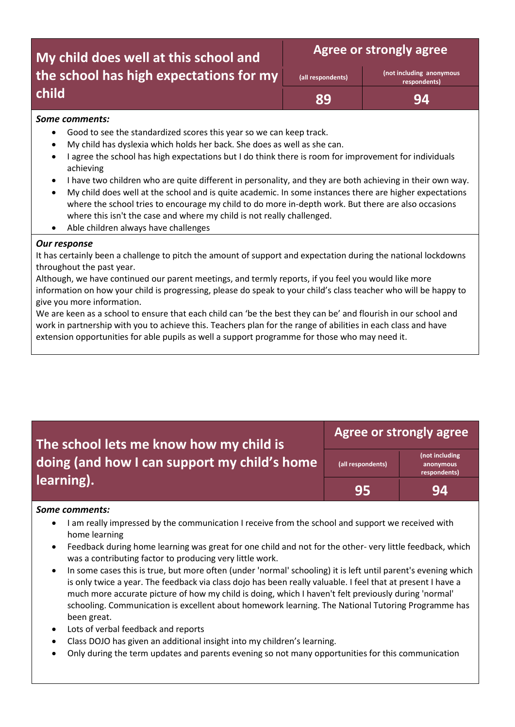## **My child does well at this school and the school has high expectations for my child**

**Agree or strongly agree** 

| (all respondents) |
|-------------------|
|-------------------|

**(all respondents) (not including anonymous respondents)**

**89 94**

#### *Some comments:*

- Good to see the standardized scores this year so we can keep track.
- My child has dyslexia which holds her back. She does as well as she can.
- I agree the school has high expectations but I do think there is room for improvement for individuals achieving
- I have two children who are quite different in personality, and they are both achieving in their own way.
- My child does well at the school and is quite academic. In some instances there are higher expectations where the school tries to encourage my child to do more in-depth work. But there are also occasions where this isn't the case and where my child is not really challenged.
- Able children always have challenges

#### *Our response*

It has certainly been a challenge to pitch the amount of support and expectation during the national lockdowns throughout the past year.

Although, we have continued our parent meetings, and termly reports, if you feel you would like more information on how your child is progressing, please do speak to your child's class teacher who will be happy to give you more information.

We are keen as a school to ensure that each child can 'be the best they can be' and flourish in our school and work in partnership with you to achieve this. Teachers plan for the range of abilities in each class and have extension opportunities for able pupils as well a support programme for those who may need it.

### **Agree or strongly agree**

**95 94**

**The school lets me know how my child is doing (and how I can support my child's home learning).**

**(all respondents)**

**(not including anonymous respondents)**

#### *Some comments:*

- I am really impressed by the communication I receive from the school and support we received with home learning
- Feedback during home learning was great for one child and not for the other- very little feedback, which was a contributing factor to producing very little work.
- In some cases this is true, but more often (under 'normal' schooling) it is left until parent's evening which is only twice a year. The feedback via class dojo has been really valuable. I feel that at present I have a much more accurate picture of how my child is doing, which I haven't felt previously during 'normal' schooling. Communication is excellent about homework learning. The National Tutoring Programme has been great.
- Lots of verbal feedback and reports
- Class DOJO has given an additional insight into my children's learning.
- Only during the term updates and parents evening so not many opportunities for this communication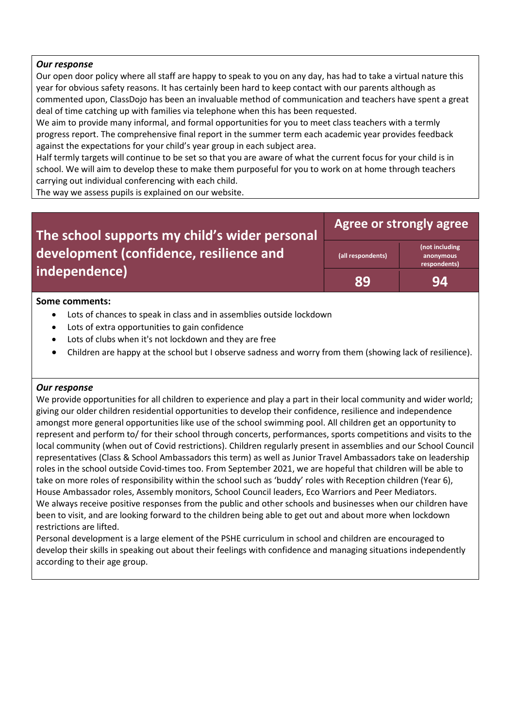#### *Our response*

Our open door policy where all staff are happy to speak to you on any day, has had to take a virtual nature this year for obvious safety reasons. It has certainly been hard to keep contact with our parents although as commented upon, ClassDojo has been an invaluable method of communication and teachers have spent a great deal of time catching up with families via telephone when this has been requested.

We aim to provide many informal, and formal opportunities for you to meet class teachers with a termly progress report. The comprehensive final report in the summer term each academic year provides feedback against the expectations for your child's year group in each subject area.

Half termly targets will continue to be set so that you are aware of what the current focus for your child is in school. We will aim to develop these to make them purposeful for you to work on at home through teachers carrying out individual conferencing with each child.

The way we assess pupils is explained on our website.

#### **The school supports my child's wider personal development (confidence, resilience and independence) Agree or strongly agree (all respondents) (not including anonymous respondents) 89 94**

#### **Some comments:**

- Lots of chances to speak in class and in assemblies outside lockdown
- Lots of extra opportunities to gain confidence
- Lots of clubs when it's not lockdown and they are free
- Children are happy at the school but I observe sadness and worry from them (showing lack of resilience).

#### *Our response*

We provide opportunities for all children to experience and play a part in their local community and wider world; giving our older children residential opportunities to develop their confidence, resilience and independence amongst more general opportunities like use of the school swimming pool. All children get an opportunity to represent and perform to/ for their school through concerts, performances, sports competitions and visits to the local community (when out of Covid restrictions). Children regularly present in assemblies and our School Council representatives (Class & School Ambassadors this term) as well as Junior Travel Ambassadors take on leadership roles in the school outside Covid-times too. From September 2021, we are hopeful that children will be able to take on more roles of responsibility within the school such as 'buddy' roles with Reception children (Year 6), House Ambassador roles, Assembly monitors, School Council leaders, Eco Warriors and Peer Mediators. We always receive positive responses from the public and other schools and businesses when our children have been to visit, and are looking forward to the children being able to get out and about more when lockdown restrictions are lifted.

Personal development is a large element of the PSHE curriculum in school and children are encouraged to develop their skills in speaking out about their feelings with confidence and managing situations independently according to their age group.